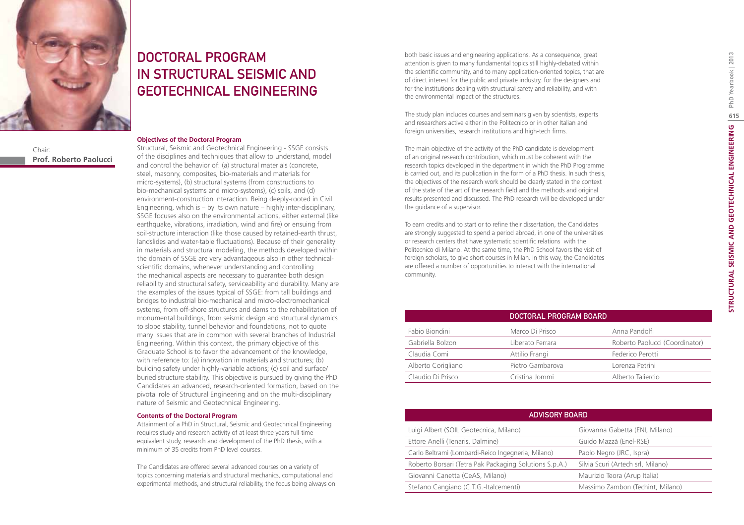

Chair: **Prof. Roberto Paolucci**

# DOCTORAL PROGRAM IN STRUCTURAL SEISMIC AND GEOTECHNICAL ENGINEERING

#### **Objectives of the Doctoral Program**

Structural, Seismic and Geotechnical Engineering - SSGE consists of the disciplines and techniques that allow to understand, model and control the behavior of: (a) structural materials (concrete, steel, masonry, composites, bio-materials and materials for micro-systems), (b) structural systems (from constructions to bio-mechanical systems and micro-systems), (c) soils, and (d) environment-construction interaction. Being deeply-rooted in Civil Engineering, which is – by its own nature – highly inter-disciplinary, SSGE focuses also on the environmental actions, either external (like earthquake, vibrations, irradiation, wind and fire) or ensuing from soil-structure interaction (like those caused by retained-earth thrust, landslides and water-table fluctuations). Because of their generality in materials and structural modeling, the methods developed within the domain of SSGE are very advantageous also in other technicalscientific domains, whenever understanding and controlling the mechanical aspects are necessary to guarantee both design reliability and structural safety, serviceability and durability. Many are the examples of the issues typical of SSGE: from tall buildings and bridges to industrial bio-mechanical and micro-electromechanical systems, from off-shore structures and dams to the rehabilitation of monumental buildings, from seismic design and structural dynamics to slope stability, tunnel behavior and foundations, not to quote many issues that are in common with several branches of Industrial Engineering. Within this context, the primary objective of this Graduate School is to favor the advancement of the knowledge, with reference to: (a) innovation in materials and structures; (b) building safety under highly-variable actions; (c) soil and surface/ buried structure stability. This objective is pursued by giving the PhD Candidates an advanced, research-oriented formation, based on the pivotal role of Structural Engineering and on the multi-disciplinary nature of Seismic and Geotechnical Engineering.

#### **Contents of the Doctoral Program**

Attainment of a PhD in Structural, Seismic and Geotechnical Engineering requires study and research activity of at least three years full-time equivalent study, research and development of the PhD thesis, with a minimum of 35 credits from PhD level courses.

The Candidates are offered several advanced courses on a variety of topics concerning materials and structural mechanics, computational and experimental methods, and structural reliability, the focus being always on both basic issues and engineering applications. As a consequence, great attention is given to many fundamental topics still highly-debated within the scientific community, and to many application-oriented topics, that are of direct interest for the public and private industry, for the designers and for the institutions dealing with structural safety and reliability, and with the environmental impact of the structures.

The study plan includes courses and seminars given by scientists, experts and researchers active either in the Politecnico or in other Italian and foreign universities, research institutions and high-tech firms.

The main objective of the activity of the PhD candidate is development of an original research contribution, which must be coherent with the research topics developed in the department in which the PhD Programme is carried out, and its publication in the form of a PhD thesis. In such thesis, the objectives of the research work should be clearly stated in the context of the state of the art of the research field and the methods and original results presented and discussed. The PhD research will be developed under the guidance of a supervisor.

To earn credits and to start or to refine their dissertation, the Candidates are strongly suggested to spend a period abroad, in one of the universities or research centers that have systematic scientific relations with the Politecnico di Milano. At the same time, the PhD School favors the visit of foreign scholars, to give short courses in Milan. In this way, the Candidates are offered a number of opportunities to interact with the international community.

|                    | DOCTORAL PROGRAM BOARD |                                |
|--------------------|------------------------|--------------------------------|
| Fabio Biondini     | Marco Di Prisco        | Anna Pandolfi                  |
| Gabriella Bolzon   | Liberato Ferrara       | Roberto Paolucci (Coordinator) |
| Claudia Comi       | Attilio Frangi         | Federico Perotti               |
| Alberto Corigliano | Pietro Gambarova       | Lorenza Petrini                |
| Claudio Di Prisco  | Cristina Jommi         | Alberto Taliercio              |

| <b>ADVISORY BOARD</b>                                  |                                   |  |
|--------------------------------------------------------|-----------------------------------|--|
| Luigi Albert (SOIL Geotecnica, Milano)                 | Giovanna Gabetta (ENI, Milano)    |  |
| Ettore Anelli (Tenaris, Dalmine)                       | Guido Mazzà (Enel-RSE)            |  |
| Carlo Beltrami (Lombardi-Reico Ingegneria, Milano)     | Paolo Negro (JRC, Ispra)          |  |
| Roberto Borsari (Tetra Pak Packaging Solutions S.p.A.) | Silvia Scuri (Artech srl, Milano) |  |
| Giovanni Canetta (CeAS, Milano)                        | Maurizio Teora (Arup Italia)      |  |
| Stefano Cangiano (C.T.G.-Italcementi)                  | Massimo Zambon (Techint, Milano)  |  |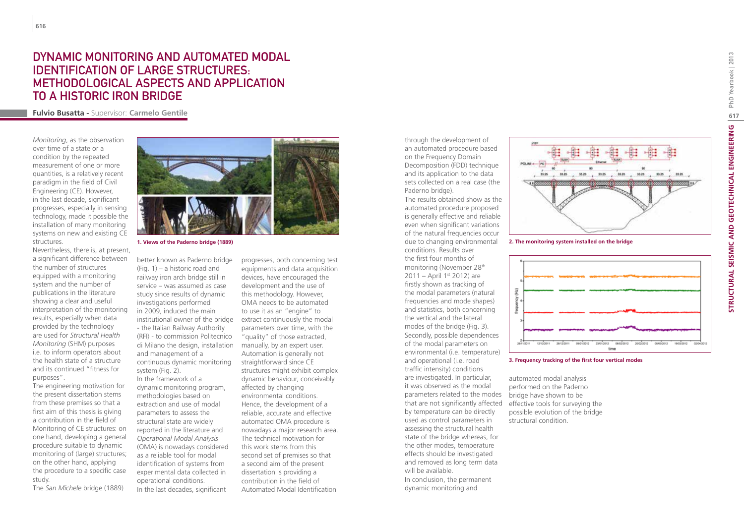# **DYNAMIC MONITORING AND AUTOMATED MODAL<br>IDENTIFICATION OF LARGE STRUCTURES:<br>METHODOLOGICAL ASPECTS AND APPLICATION<br>TO A HISTORIC IRON BRIDGE<br>Fulvio Busatta - Supervisor: Carmelo Gentile** IDENTIFICATION OF LARGE STRUCTURES: METHODOLOGICAL ASPECTS AND APPLICATION TO A HISTORIC IRON BRIDGE

*Monitoring*, as the observation over time of a state or a condition by the repeated measurement of one or more quantities, is a relatively recent paradigm in the field of Civil Engineering (CE). However, in the last decade, significant progresses, especially in sensing technology, made it possible the installation of many monitoring systems on new and existing CE structures.

Nevertheless, there is, at present, a significant difference between the number of structures equipped with a monitoring system and the number of publications in the literature showing a clear and useful interpretation of the monitoring results, especially when data provided by the technology are used for *Structural Health Monitoring* (SHM) purposes i.e. to inform operators about the health state of a structure and its continued "fitness for purposes".

The engineering motivation for the present dissertation stems from these premises so that a first aim of this thesis is giving a contribution in the field of Monitoring of CE structures: on one hand, developing a general procedure suitable to dynamic monitoring of (large) structures; on the other hand, applying the procedure to a specific case study.

The *San Michele* bridge (1889)



better known as Paderno bridge (Fig. 1) – a historic road and railway iron arch bridge still in service – was assumed as case study since results of dynamic investigations performed in 2009, induced the main institutional owner of the bridge extract continuously the modal - the Italian Railway Authority (RFI) - to commission Politecnico di Milano the design, installation and management of a continuous dynamic monitoring system (Fig. 2). In the framework of a dynamic monitoring program, methodologies based on extraction and use of modal parameters to assess the structural state are widely reported in the literature and *Operational Modal Analysis*  (OMA) is nowadays considered

as a reliable tool for modal identification of systems from experimental data collected in operational conditions. In the last decades, significant

progresses, both concerning test equipments and data acquisition devices, have encouraged the development and the use of this methodology. However, OMA needs to be automated to use it as an "engine" to parameters over time, with the "quality" of those extracted, manually, by an expert user. Automation is generally not straightforward since CE structures might exhibit complex dynamic behaviour, conceivably affected by changing environmental conditions. Hence, the development of a reliable, accurate and effective automated OMA procedure is nowadays a major research area. The technical motivation for this work stems from this second set of premises so that a second aim of the present dissertation is providing a contribution in the field of Automated Modal Identification

through the development of an automated procedure based on the Frequency Domain Decomposition (FDD) technique and its application to the data sets collected on a real case (the Paderno bridge).

The results obtained show as the automated procedure proposed is generally effective and reliable even when significant variations of the natural frequencies occur due to changing environmental conditions. Results over the first four months of monitoring (November 28th 2011 – April 1<sup>st</sup> 2012) are firstly shown as tracking of the modal parameters (natural frequencies and mode shapes) and statistics, both concerning the vertical and the lateral modes of the bridge (Fig. 3). Secondly, possible dependences of the modal parameters on environmental (i.e. temperature) and operational (i.e. road traffic intensity) conditions are investigated. In particular, it was observed as the modal parameters related to the modes bridge have shown to be that are not significantly affected by temperature can be directly used as control parameters in assessing the structural health state of the bridge whereas, for the other modes, temperature effects should be investigated and removed as long term data will be available. In conclusion, the permanent dynamic monitoring and



**1. Views of the Paderno bridge (1889) 2. The monitoring system installed on the bridge**



#### **3. Frequency tracking of the first four vertical modes**

automated modal analysis performed on the Paderno effective tools for surveying the possible evolution of the bridge structural condition.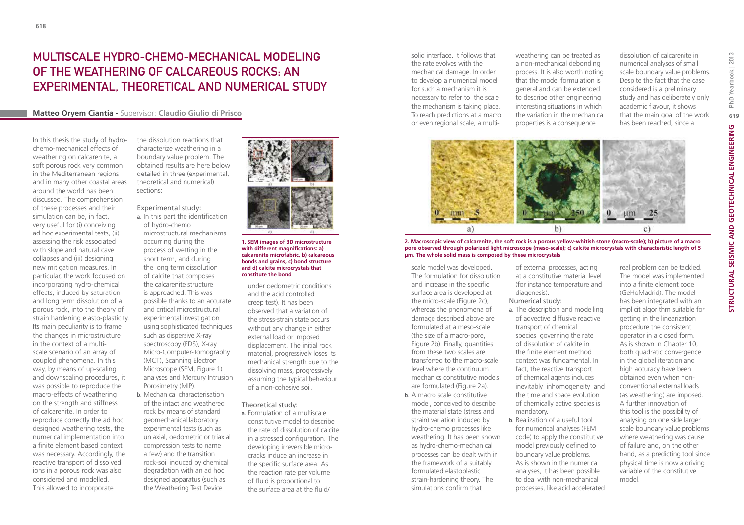### Multiscale hydro-chemo-mechanical modeling of the weathering of calcareous rocks: an experimental, theoretical and numerical study

### **Matteo Oryem Ciantia -** Supervisor: **Claudio Giulio di Prisco**

In this thesis the study of hydrochemo-mechanical effects of weathering on calcarenite, a soft porous rock very common in the Mediterranean regions and in many other coastal areas around the world has been discussed. The comprehension of these processes and their simulation can be, in fact, very useful for (i) conceiving ad hoc experimental tests, (ii) assessing the risk associated with slope and natural cave collapses and (iii) designing new mitigation measures. In particular, the work focused on incorporating hydro-chemical effects, induced by saturation and long term dissolution of a porous rock, into the theory of strain hardening elasto-plasticity. Its main peculiarity is to frame the changes in microstructure in the context of a multiscale scenario of an array of coupled phenomena. In this way, by means of up-scaling and downscaling procedures, it was possible to reproduce the macro-effects of weathering on the strength and stiffness of calcarenite. In order to reproduce correctly the ad hoc designed weathering tests, the numerical implementation into a finite element based context was necessary. Accordingly, the reactive transport of dissolved ions in a porous rock was also considered and modelled. This allowed to incorporate

the dissolution reactions that characterize weathering in a boundary value problem. The obtained results are here below detailed in three (experimental, theoretical and numerical) sections:

### Experimental study:

- a. In this part the identification of hydro-chemo microstructural mechanisms occurring during the process of wetting in the short term, and during the long term dissolution of calcite that composes the calcarenite structure is approached. This was possible thanks to an accurate and critical microstructural experimental investigation using sophisticated techniques such as dispersive X-ray spectroscopy (EDS), X-ray Micro-Computer-Tomography (MCT), Scanning Electron Microscope (SEM, Figure 1) analyses and Mercury Intrusion Porosimetry (MIP).
- b. Mechanical characterisation of the intact and weathered rock by means of standard geomechanical laboratory experimental tests (such as uniaxial, oedometric or triaxial compression tests to name a few) and the transition rock-soil induced by chemical degradation with an ad hoc designed apparatus (such as the Weathering Test Device



- **1. SEM images of 3D microstructure with different magnifications: a) calcarenite microfabric, b) calcareous bonds and grains, c) bond structure and d) calcite microcrystals that constitute the bond**
- under oedometric conditions and the acid controlled creep test). It has been observed that a variation of the stress-strain state occurs without any change in either external load or imposed displacement. The initial rock material, progressively loses its mechanical strength due to the dissolving mass, progressively assuming the typical behaviour of a non-cohesive soil.
- Theoretical study:
- a. Formulation of a multiscale constitutive model to describe the rate of dissolution of calcite in a stressed configuration. The developing irreversible microcracks induce an increase in the specific surface area. As the reaction rate per volume of fluid is proportional to the surface area at the fluid/

solid interface, it follows that the rate evolves with the mechanical damage. In order to develop a numerical model for such a mechanism it is necessary to refer to the scale the mechanism is taking place. To reach predictions at a macro or even regional scale, a multiweathering can be treated as a non-mechanical debonding process. It is also worth noting that the model formulation is general and can be extended to describe other engineering interesting situations in which the variation in the mechanical properties is a consequence

dissolution of calcarenite in numerical analyses of small scale boundary value problems. Despite the fact that the case considered is a preliminary study and has deliberately only academic flavour, it shows that the main goal of the work has been reached, since a



**2. Macroscopic view of calcarenite, the soft rock is a porous yellow-whitish stone (macro-scale); b) picture of a macro pore observed through polarized light microscope (meso-scale); c) calcite microcrystals with characteristic length of 5 μm. The whole solid mass is composed by these microcrystals**

scale model was developed. The formulation for dissolution and increase in the specific surface area is developed at the micro-scale (Figure 2c), whereas the phenomena of damage described above are formulated at a meso-scale (the size of a macro-pore, Figure 2b). Finally, quantities from these two scales are transferred to the macro-scale level where the continuum mechanics constitutive models are formulated (Figure 2a).

b. A macro scale constitutive model, conceived to describe the material state (stress and strain) variation induced by hydro-chemo processes like weathering. It has been shown as hydro-chemo-mechanical processes can be dealt with in the framework of a suitably formulated elastoplastic strain-hardening theory. The simulations confirm that

of external processes, acting at a constitutive material level (for instance temperature and diagenesis).

### Numerical study:

- a. The description and modelling of advective diffusive reactive transport of chemical species governing the rate of dissolution of calcite in the finite element method context was fundamental. In fact, the reactive transport of chemical agents induces inevitably inhomogeneity and the time and space evolution of chemically active species is mandatory.
- b. Realization of a useful tool for numerical analyses (FEM code) to apply the constitutive model previously defined to boundary value problems. As is shown in the numerical analyses, it has been possible to deal with non-mechanical processes, like acid accelerated

real problem can be tackled. The model was implemented into a finite element code (GeHoMadrid). The model has been integrated with an implicit algorithm suitable for getting in the linearization procedure the consistent operator in a closed form. As is shown in Chapter 10, both quadratic convergence in the global iteration and high accuracy have been obtained even when nonconventional external loads (as weathering) are imposed. A further innovation of this tool is the possibility of analysing on one side larger scale boundary value problems where weathering was cause of failure and, on the other hand, as a predicting tool since physical time is now a driving variable of the constitutive model.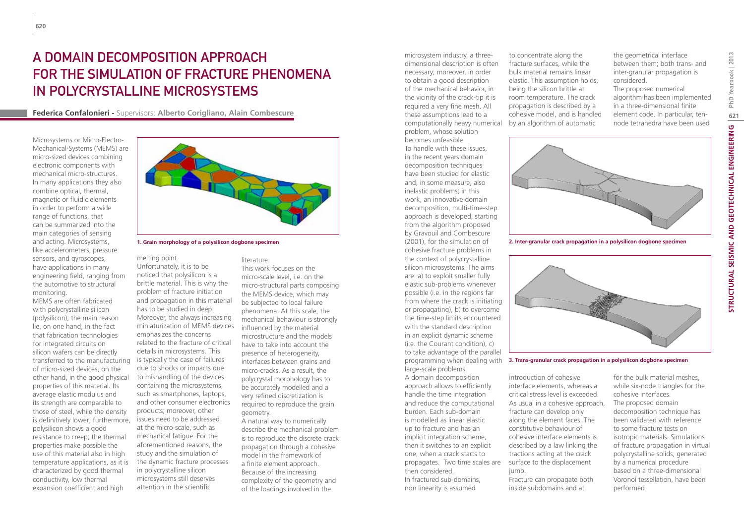# A domain decomposition approach for the simulation of fracture phenomena in polycrystalline microsystems

**Federica Confalonieri -** Supervisors: **Alberto Corigliano, Alain Combescure**

Microsystems or Micro-Electro-Mechanical-Systems (MEMS) are micro-sized devices combining electronic components with mechanical micro-structures. In many applications they also combine optical, thermal, magnetic or fluidic elements in order to perform a wide range of functions, that can be summarized into the main categories of sensing and acting. Microsystems, like accelerometers, pressure sensors, and gyroscopes, have applications in many engineering field, ranging from the automotive to structural monitoring.

MEMS are often fabricated with polycrystalline silicon (polysilicon); the main reason lie, on one hand, in the fact that fabrication technologies for integrated circuits on silicon wafers can be directly transferred to the manufacturing is typically the case of failures of micro-sized devices, on the other hand, in the good physical properties of this material. Its average elastic modulus and its strength are comparable to those of steel, while the density is definitively lower; furthermore, polysilicon shows a good resistance to creep; the thermal properties make possible the use of this material also in high temperature applications, as it is characterized by good thermal conductivity, low thermal expansion coefficient and high



melting point. Unfortunately, it is to be noticed that polysilicon is a brittle material. This is why the problem of fracture initiation and propagation in this material has to be studied in deep. Moreover, the always increasing miniaturization of MEMS devices emphasizes the concerns related to the fracture of critical details in microsystems. This due to shocks or impacts due to mishandling of the devices containing the microsystems, such as smartphones, laptops, and other consumer electronics products; moreover, other issues need to be addressed at the micro-scale, such as mechanical fatigue. For the aforementioned reasons, the study and the simulation of the dynamic fracture processes in polycrystalline silicon microsystems still deserves attention in the scientific

#### literature. This work focuses on the micro-scale level, i.e. on the micro-structural parts composing the MEMS device, which may be subjected to local failure phenomena. At this scale, the mechanical behaviour is strongly influenced by the material microstructure and the models have to take into account the presence of heterogeneity, interfaces between grains and micro-cracks. As a result, the polycrystal morphology has to be accurately modelled and a very refined discretization is required to reproduce the grain geometry. A natural way to numerically

describe the mechanical problem is to reproduce the discrete crack propagation through a cohesive model in the framework of a finite element approach. Because of the increasing complexity of the geometry and of the loadings involved in the

microsystem industry, a threedimensional description is often necessary; moreover, in order to obtain a good description of the mechanical behavior, in the vicinity of the crack-tip it is required a very fine mesh. All these assumptions lead to a computationally heavy numerical by an algorithm of automatic problem, whose solution becomes unfeasible.

To handle with these issues, in the recent years domain decomposition techniques have been studied for elastic and, in some measure, also inelastic problems; in this work, an innovative domain decomposition, multi-time-step approach is developed, starting from the algorithm proposed by Gravouil and Combescure (2001), for the simulation of cohesive fracture problems in the context of polycrystalline silicon microsystems. The aims are: a) to exploit smaller fully elastic sub-problems whenever possible (i.e. in the regions far from where the crack is initiating or propagating), b) to overcome the time-step limits encountered with the standard description in an explicit dynamic scheme (i.e. the Courant condition), c) to take advantage of the parallel large-scale problems.

A domain decomposition approach allows to efficiently handle the time integration and reduce the computational burden. Each sub-domain is modelled as linear elastic up to fracture and has an implicit integration scheme, then it switches to an explicit one, when a crack starts to propagates. Two time scales are then considered. In fractured sub-domains, non linearity is assumed

to concentrate along the fracture surfaces, while the bulk material remains linear elastic. This assumption holds, being the silicon brittle at room temperature. The crack propagation is described by a cohesive model, and is handled the geometrical interface between them; both trans- and inter-granular propagation is considered. The proposed numerical algorithm has been implemented in a three-dimensional finite element code. In particular, tennode tetrahedra have been used



**1. Grain morphology of a polysilicon dogbone specimen 2. Inter-granular crack propagation in a polysilicon dogbone specimen**



programming when dealing with **3. Trans-granular crack propagation in a polysilicon dogbone specimen**

introduction of cohesive interface elements, whereas a critical stress level is exceeded. As usual in a cohesive approach, fracture can develop only along the element faces. The constitutive behaviour of cohesive interface elements is described by a law linking the tractions acting at the crack surface to the displacement jump.

Fracture can propagate both inside subdomains and at

for the bulk material meshes, while six-node triangles for the cohesive interfaces. The proposed domain decomposition technique has been validated with reference to some fracture tests on isotropic materials. Simulations of fracture propagation in virtual polycrystalline solids, generated by a numerical procedure based on a three-dimensional Voronoi tessellation, have been performed.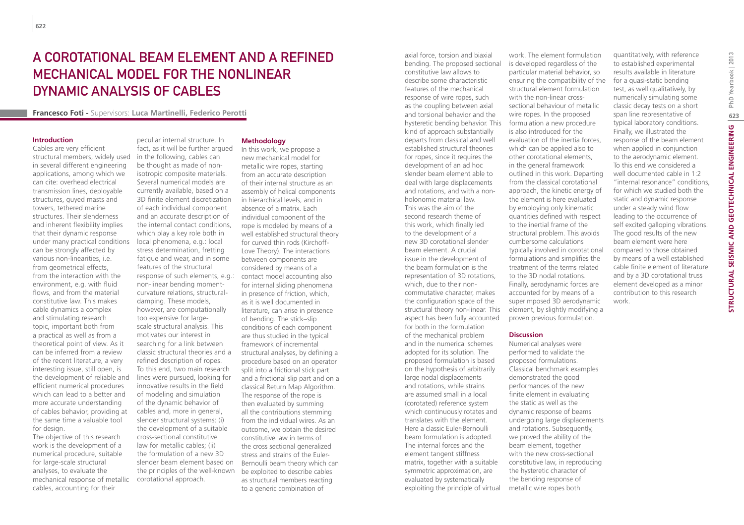# A COROTATIONAL BEAM ELEMENT AND A REFINED mechanical model for the nonlinear dynamic analysis of cables

**Francesco Foti -** Supervisors: **Luca Martinelli, Federico Perotti**

#### **Introduction**

Cables are very efficient structural members, widely used in several different engineering applications, among which we can cite: overhead electrical transmission lines, deployable structures, guyed masts and towers, tethered marine structures. Their slenderness and inherent flexibility implies that their dynamic response under many practical conditions can be strongly affected by various non-linearities, i.e. from geometrical effects, from the interaction with the environment, e.g. with fluid flows, and from the material constitutive law. This makes cable dynamics a complex and stimulating research topic, important both from a practical as well as from a theoretical point of view. As it can be inferred from a review of the recent literature, a very interesting issue, still open, is the development of reliable and efficient numerical procedures which can lead to a better and more accurate understanding of cables behavior, providing at the same time a valuable tool for design.

The objective of this research work is the development of a numerical procedure, suitable for large-scale structural analyses, to evaluate the mechanical response of metallic cables, accounting for their

peculiar internal structure. In fact, as it will be further argued in the following, cables can be thought as made of nonisotropic composite materials. Several numerical models are currently available, based on a 3D finite element discretization of each individual component and an accurate description of the internal contact conditions, which play a key role both in local phenomena, e.g.: local stress determination, fretting fatigue and wear, and in some features of the structural response of such elements, e.g.: contact model accounting also non-linear bending momentcurvature relations, structuraldamping. These models, however, are computationally too expensive for largescale structural analysis. This motivates our interest in searching for a link between classic structural theories and a refined description of ropes. To this end, two main research lines were pursued, looking for innovative results in the field of modeling and simulation of the dynamic behavior of cables and, more in general, slender structural systems: (i) the development of a suitable cross-sectional constitutive law for metallic cables; (ii) the formulation of a new 3D slender beam element based on the principles of the well-known be exploited to describe cables corotational approach.

#### **Methodology**

In this work, we propose a new mechanical model for metallic wire ropes, starting from an accurate description of their internal structure as an assembly of helical components in hierarchical levels, and in absence of a matrix. Each individual component of the rope is modeled by means of a well established structural theory for curved thin rods (Kirchoff-Love Theory). The interactions between components are considered by means of a for internal sliding phenomena in presence of friction, which, as it is well documented in literature, can arise in presence of bending. The stick–slip conditions of each component are thus studied in the typical framework of incremental structural analyses, by defining a procedure based on an operator split into a frictional stick part and a frictional slip part and on a classical Return Map Algorithm. The response of the rope is then evaluated by summing all the contributions stemming from the individual wires. As an outcome, we obtain the desired constitutive law in terms of the cross sectional generalized stress and strains of the Euler-Bernoulli beam theory which can as structural members reacting to a generic combination of

axial force, torsion and biaxial bending. The proposed sectional constitutive law allows to describe some characteristic features of the mechanical response of wire ropes, such as the coupling between axial and torsional behavior and the hysteretic bending behavior. This kind of approach substantially departs from classical and well established structural theories for ropes, since it requires the development of an ad hoc slender beam element able to deal with large displacements and rotations, and with a nonholonomic material law. This was the aim of the second research theme of this work, which finally led to the development of a new 3D corotational slender beam element. A crucial issue in the development of the beam formulation is the representation of 3D rotations, which, due to their noncommutative character, makes the configuration space of the structural theory non-linear. This aspect has been fully accounted for both in the formulation of the mechanical problem and in the numerical schemes adopted for its solution. The proposed formulation is based on the hypothesis of arbitrarily large nodal displacements and rotations, while strains are assumed small in a local (corotated) reference system which continuously rotates and translates with the element. Here a classic Euler-Bernoulli beam formulation is adopted. The internal forces and the element tangent stiffness matrix, together with a suitable symmetric approximation, are evaluated by systematically exploiting the principle of virtual

work. The element formulation is developed regardless of the particular material behavior, so ensuring the compatibility of the structural element formulation with the non-linear crosssectional behaviour of metallic wire ropes. In the proposed formulation a new procedure is also introduced for the evaluation of the inertia forces, which can be applied also to other corotational elements, in the general framework outlined in this work. Departing from the classical corotational approach, the kinetic energy of the element is here evaluated by employing only kinematic quantities defined with respect to the inertial frame of the structural problem. This avoids cumbersome calculations typically involved in corotational formulations and simplifies the treatment of the terms related to the 3D nodal rotations. Finally, aerodynamic forces are accounted for by means of a superimposed 3D aerodynamic element, by slightly modifying a proven previous formulation.

#### **Discussion**

Numerical analyses were performed to validate the proposed formulations. Classical benchmark examples demonstrated the good performances of the new finite element in evaluating the static as well as the dynamic response of beams undergoing large displacements and rotations. Subsequently, we proved the ability of the beam element, together with the new cross-sectional constitutive law, in reproducing the hysteretic character of the bending response of metallic wire ropes both

quantitatively, with reference to established experimental results available in literature for a quasi-static bending test, as well qualitatively, by numerically simulating some classic decay tests on a short span line representative of typical laboratory conditions. Finally, we illustrated the response of the beam element when applied in conjunction to the aerodynamic element. To this end we considered a well documented cable in 1:2 "internal resonance" conditions, for which we studied both the static and dynamic response under a steady wind flow leading to the occurrence of self excited galloping vibrations. The good results of the new beam element were here compared to those obtained by means of a well established cable finite element of literature and by a 3D corotational truss element developed as a minor contribution to this research work.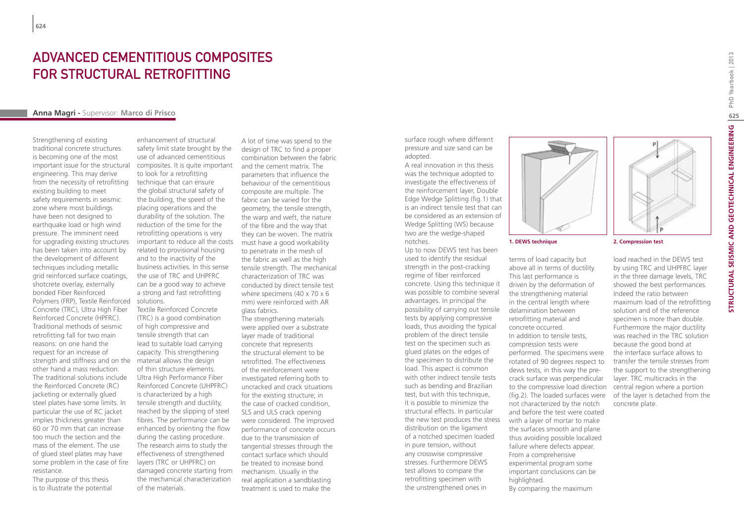# ADVANCED CEMENTITIOUS COMPOSITES FOR STRUCTURAL RETROFITTING

### **Anna Magri -** Supervisor: **Marco di Prisco**

Strengthening of existing traditional concrete structures is becoming one of the most important issue for the structural engineering. This may derive from the necessity of retrofitting existing building to meet safety requirements in seismic zone where most buildings have been not designed to earthquake load or high wind pressure. The imminent need for upgrading existing structures has been taken into account by the development of different techniques including metallic grid reinforced surface coatings, shotcrete overlay, externally bonded Fiber Reinforced Polymers (FRP), Textile Reinforced Concrete (TRC), Ultra High Fiber Reinforced Concrete (HPFRC). Traditional methods of seismic retrofitting fall for two main reasons: on one hand the request for an increase of strength and stiffness and on the material allows the design other hand a mass reduction. The traditional solutions include the Reinforced Concrete (RC) jacketing or externally glued steel plates have some limits. In particular the use of RC jacket implies thickness greater than 60 or 70 mm that can increase too much the section and the mass of the element. The use of glued steel plates may have some problem in the case of fire resistance.

The purpose of this thesis is to illustrate the potential

enhancement of structural safety limit state brought by the use of advanced cementitious composites. It is quite important to look for a retrofitting technique that can ensure the global structural safety of the building, the speed of the placing operations and the durability of the solution. The reduction of the time for the retrofitting operations is very important to reduce all the costs related to provisional housing and to the inactivity of the business activities. In this sense the use of TRC and UHPFRC can be a good way to achieve a strong and fast retrofitting solutions.

Textile Reinforced Concrete (TRC) is a good combination of high compressive and tensile strength that can lead to suitable load carrying capacity. This strengthening of thin structure elements. Ultra High Performance Fiber Reinforced Concrete (UHPFRC) is characterized by a high tensile strength and ductility, reached by the slipping of steel fibres. The performance can be enhanced by orienting the flow during the casting procedure. The research aims to study the effectiveness of strengthened layers (TRC or UHPFRC) on damaged concrete starting from the mechanical characterization of the materials.

A lot of time was spend to the design of TRC to find a proper combination between the fabric and the cement matrix. The parameters that influence the behaviour of the cementitious composite are multiple. The fabric can be varied for the geometry, the tensile strength, the warp and weft, the nature of the fibre and the way that they can be woven. The matrix must have a good workability to penetrate in the mesh of the fabric as well as the high tensile strength. The mechanical characterization of TRC was conducted by direct tensile test where specimens (40 x 70 x 6) mm) were reinforced with AR glass fabrics.

The strengthening materials were applied over a substrate layer made of traditional concrete that represents the structural element to be retrofitted. The effectiveness of the reinforcement were investigated referring both to uncracked and crack situations for the existing structure; in the case of cracked condition, SLS and ULS crack opening were considered. The improved performance of concrete occurs due to the transmission of tangential stresses through the contact surface which should be treated to increase bond mechanism. Usually in the real application a sandblasting treatment is used to make the

surface rough where different pressure and size sand can be adopted.

A real innovation in this thesis was the technique adopted to investigate the effectiveness of the reinforcement layer, Double Edge Wedge Splitting (fig.1) that is an indirect tensile test that can be considered as an extension of Wedge Splitting (WS) because two are the wedge-shaped notches.

Up to now DEWS test has been used to identify the residual strength in the post-cracking regime of fiber reinforced concrete. Using this technique it was possible to combine several advantages. In principal the possibility of carrying out tensile tests by applying compressive loads, thus avoiding the typical problem of the direct tensile test on the specimen such as glued plates on the edges of the specimen to distribute the load. This aspect is common with other indirect tensile tests such as bending and Brazilian test, but with this technique, it is possible to minimize the structural effects. In particular the new test produces the stress distribution on the ligament of a notched specimen loaded in pure tension, without any crosswise compressive stresses. Furthermore DEWS test allows to compare the retrofitting specimen with the unstrengthened ones in



terms of load capacity but above all in terms of ductility. This last performance is driven by the deformation of the strengthening material in the central length where delamination between retrofitting material and concrete occurred. In addition to tensile tests, compression tests were performed. The specimens were rotated of 90 degrees respect to dews tests, in this way the precrack surface was perpendicular to the compressive load direction not characterized by the notch and before the test were coated with a layer of mortar to make the surfaces smooth and plane thus avoiding possible localized failure where defects appear. From a comprehensive experimental program some important conclusions can be highlighted. By comparing the maximum

#### **1. DEWS technique 2. Compression test**

(fig.2). The loaded surfaces were of the layer is detached from the load reached in the DEWS test by using TRC and UHPFRC layer in the three damage levels, TRC showed the best performances. Indeed the ratio between maximum load of the retrofitting solution and of the reference specimen is more than double. Furthermore the major ductility was reached in the TRC solution because the good bond at the interface surface allows to transfer the tensile stresses from the support to the strengthening layer. TRC multicracks in the central region where a portion concrete plate.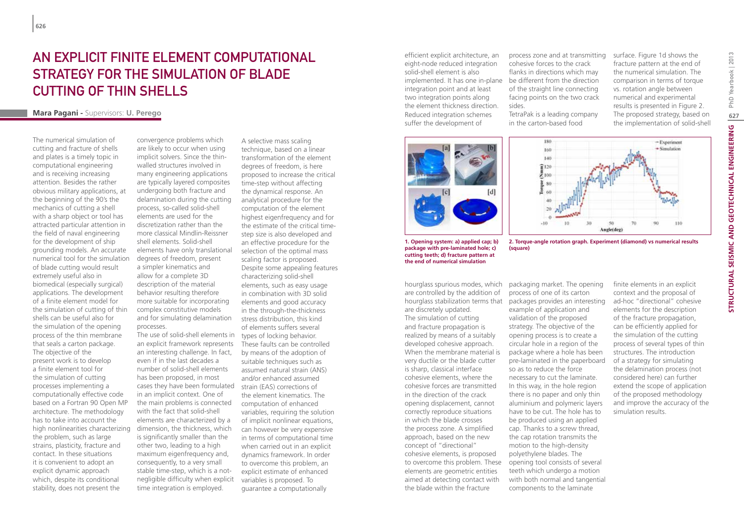## AN EXPLICIT FINITE ELEMENT COMPUTATIONAL strategy for the simulation of blade cutting of thin shells

### **Mara Pagani -** Supervisors: **U. Perego**

The numerical simulation of cutting and fracture of shells and plates is a timely topic in computational engineering and is receiving increasing attention. Besides the rather obvious military applications, at the beginning of the 90's the mechanics of cutting a shell with a sharp object or tool has attracted particular attention in the field of naval engineering for the development of ship grounding models. An accurate numerical tool for the simulation of blade cutting would result extremely useful also in biomedical (especially surgical) applications. The development of a finite element model for the simulation of cutting of thin shells can be useful also for the simulation of the opening process of the thin membrane that seals a carton package. The objective of the present work is to develop a finite element tool for the simulation of cutting processes implementing a computationally effective code based on a Fortran 90 Open MP architecture. The methodology has to take into account the high nonlinearities characterizing the problem, such as large strains, plasticity, fracture and contact. In these situations it is convenient to adopt an explicit dynamic approach which, despite its conditional stability, does not present the

convergence problems which are likely to occur when using implicit solvers. Since the thinwalled structures involved in many engineering applications are typically layered composites undergoing both fracture and delamination during the cutting process, so-called solid-shell elements are used for the discretization rather than the more classical Mindlin-Reissner shell elements. Solid-shell elements have only translational degrees of freedom, present a simpler kinematics and allow for a complete 3D description of the material behavior resulting therefore more suitable for incorporating complex constitutive models and for simulating delamination processes.

The use of solid-shell elements in an explicit framework represents an interesting challenge. In fact, even if in the last decades a number of solid-shell elements has been proposed, in most cases they have been formulated strain (EAS) corrections of in an implicit context. One of the main problems is connected with the fact that solid-shell elements are characterized by a dimension, the thickness, which is significantly smaller than the other two, leading to a high maximum eigenfrequency and, consequently, to a very small stable time-step, which is a notnegligible difficulty when explicit time integration is employed.

A selective mass scaling technique, based on a linear transformation of the element degrees of freedom, is here proposed to increase the critical time-step without affecting the dynamical response. An analytical procedure for the computation of the element highest eigenfrequency and for the estimate of the critical timestep size is also developed and an effective procedure for the selection of the optimal mass scaling factor is proposed. Despite some appealing features characterizing solid-shell elements, such as easy usage in combination with 3D solid elements and good accuracy in the through-the-thickness stress distribution, this kind of elements suffers several types of locking behavior. These faults can be controlled by means of the adoption of suitable techniques such as assumed natural strain (ANS) and/or enhanced assumed the element kinematics. The computation of enhanced variables, requiring the solution of implicit nonlinear equations, can however be very expensive in terms of computational time when carried out in an explicit dynamics framework. In order to overcome this problem, an explicit estimate of enhanced variables is proposed. To guarantee a computationally

efficient explicit architecture, an eight-node reduced integration solid-shell element is also implemented. It has one in-plane be different from the direction integration point and at least two integration points along the element thickness direction. Reduced integration schemes suffer the development of





TetraPak is a leading company in the carton-based food

fracture pattern at the end of the numerical simulation. The comparison in terms of torque vs. rotation angle between numerical and experimental results is presented in Figure 2. The proposed strategy, based on the implementation of solid-shell



**2. Torque-angle rotation graph. Experiment (diamond) vs numerical results (square)**

**1. Opening system: a) applied cap; b) package with pre-laminated hole; c) cutting teeth; d) fracture pattern at the end of numerical simulation**

hourglass spurious modes, which are controlled by the addition of are discretely updated. The simulation of cutting and fracture propagation is realized by means of a suitably developed cohesive approach. When the membrane material is very ductile or the blade cutter is sharp, classical interface cohesive elements, where the cohesive forces are transmitted in the direction of the crack opening displacement, cannot correctly reproduce situations in which the blade crosses the process zone. A simplified approach, based on the new concept of "directional" cohesive elements, is proposed to overcome this problem. These elements are geometric entities aimed at detecting contact with the blade within the fracture

hourglass stabilization terms that packages provides an interesting process of one of its carton example of application and validation of the proposed strategy. The objective of the opening process is to create a circular hole in a region of the package where a hole has been pre-laminated in the paperboard so as to reduce the force necessary to cut the laminate. In this way, in the hole region there is no paper and only thin aluminium and polymeric layers have to be cut. The hole has to be produced using an applied cap. Thanks to a screw thread, the cap rotation transmits the motion to the high-density polyethylene blades. The opening tool consists of several teeth which undergo a motion with both normal and tangential components to the laminate

packaging market. The opening

finite elements in an explicit context and the proposal of ad-hoc "directional" cohesive elements for the description of the fracture propagation, can be efficiently applied for the simulation of the cutting process of several types of thin structures. The introduction of a strategy for simulating the delamination process (not considered here) can further extend the scope of application of the proposed methodology and improve the accuracy of the simulation results.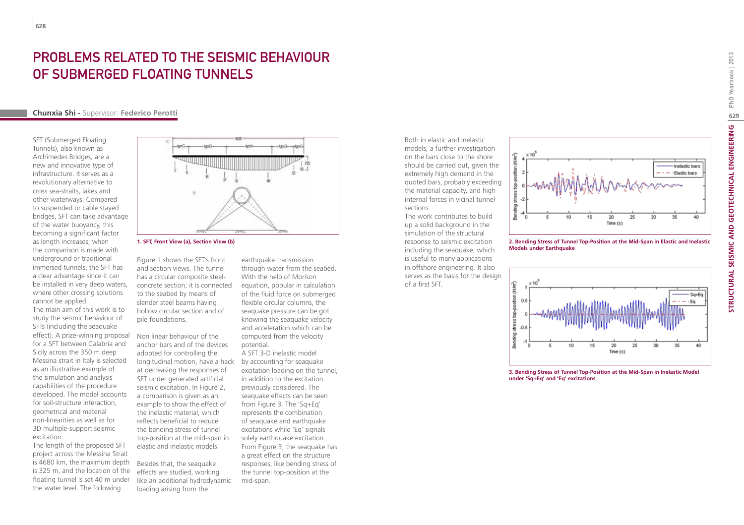# PROBLEMS RELATED TO THE SEISMIC BEHAVIOUR of Submerged Floating Tunnels

### **Chunxia Shi -** Supervisor: **Federico Perotti**

SFT (Submerged Floating Tunnels), also known as Archimedes Bridges, are a new and innovative type of infrastructure. It serves as a revolutionary alternative to cross sea-straits, lakes and other waterways. Compared to suspended or cable stayed bridges, SFT can take advantage of the water buoyancy, this becoming a significant factor as length increases; when the comparison is made with underground or traditional immersed tunnels, the SFT has a clear advantage since it can be installed in very deep waters, where other crossing solutions cannot be applied.

The main aim of this work is to study the seismic behaviour of SFTs (including the seaquake effect). A prize-winning proposal for a SFT between Calabria and Sicily across the 350 m deep Messina strait in Italy is selected as an illustrative example of the simulation and analysis capabilities of the procedure developed. The model accounts for soil-structure interaction, geometrical and material non-linearities as well as for 3D multiple-support seismic excitation.

The length of the proposed SFT project across the Messina Strait is 4680 km, the maximum depth is 325 m, and the location of the floating tunnel is set 40 m under the water level. The following



**1. SFT, Front View (a), Section View (b)**

Figure 1 shows the SFT's front and section views. The tunnel has a circular composite steelconcrete section; it is connected to the seabed by means of slender steel beams having hollow circular section and of pile foundations.

Non linear behaviour of the anchor bars and of the devices adopted for controlling the longitudinal motion, have a hack by accounting for seaquake at decreasing the responses of SFT under generated artificial seismic excitation. In Figure 2, a comparison is given as an example to show the effect of the inelastic material, which reflects beneficial to reduce the bending stress of tunnel top-position at the mid-span in elastic and inelastic models.

Besides that, the seaquake effects are studied, working like an additional hydrodynamic loading arising from the

earthquake transmission through water from the seabed. With the help of Morison equation, popular in calculation of the fluid force on submerged flexible circular columns, the seaquake pressure can be got knowing the seaquake velocity and acceleration which can be computed from the velocity potential.

A SFT 3-D inelastic model excitation loading on the tunnel, in addition to the excitation previously considered. The seaquake effects can be seen from Figure 3. The 'Sq+Eq' represents the combination of seaquake and earthquake excitations while 'Eq' signals solely earthquake excitation. From Figure 3, the seaquake has a great effect on the structure responses, like bending stress of the tunnel top-position at the mid-span.

Both in elastic and inelastic models, a further investigation on the bars close to the shore should be carried out, given the extremely high demand in the quoted bars, probably exceeding the material capacity, and high internal forces in vicinal tunnel sections.

The work contributes to build up a solid background in the simulation of the structural response to seismic excitation including the seaquake, which is useful to many applications in offshore engineering. It also serves as the basis for the design of a first SFT.



**2. Bending Stress of Tunnel Top-Position at the Mid-Span in Elastic and Inelastic Models under Earthquake**



**3. Bending Stress of Tunnel Top-Position at the Mid-Span in Inelastic Model under 'Sq+Eq' and 'Eq' excitations**